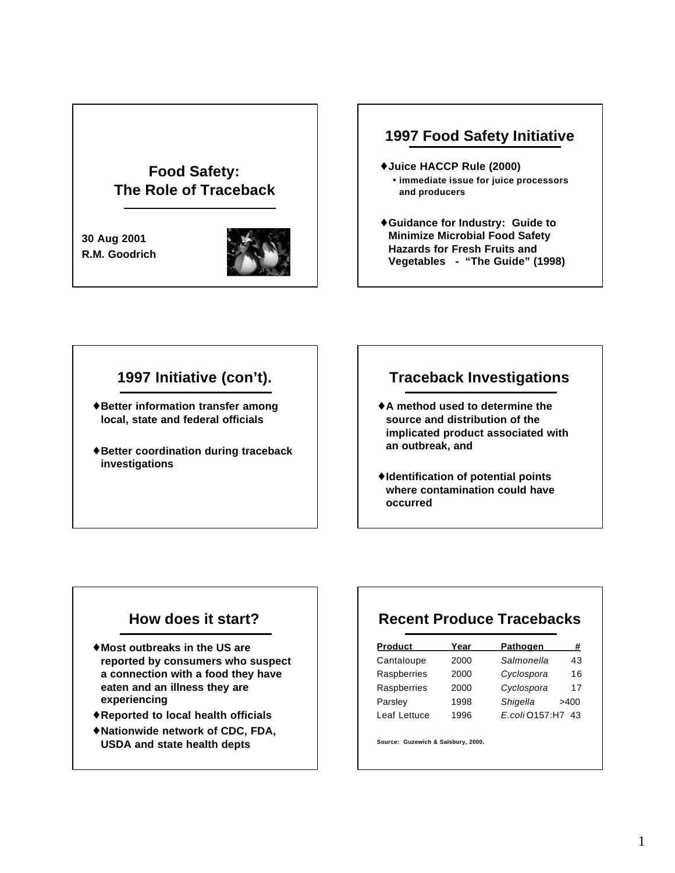# **Food Safety: The Role of Traceback**

**30 Aug 2001 R.M. Goodrich**



### **1997 Food Safety Initiative**

- ♦**Juice HACCP Rule (2000)** • **immediate issue for juice processors and producers**
- ♦**Guidance for Industry: Guide to Minimize Microbial Food Safety Hazards for Fresh Fruits and Vegetables - "The Guide" (1998)**

# **1997 Initiative (con't).**

- ♦**Better information transfer among local, state and federal officials**
- ♦**Better coordination during traceback investigations**

## **Traceback Investigations**

- ♦**A method used to determine the source and distribution of the implicated product associated with an outbreak, and**
- ♦**Identification of potential points where contamination could have occurred**

## **How does it start?**

- ♦**Most outbreaks in the US are reported by consumers who suspect a connection with a food they have eaten and an illness they are experiencing**
- ♦**Reported to local health officials**
- ♦**Nationwide network of CDC, FDA, USDA and state health depts**

# **Recent Produce Tracebacks**

| <b>Product</b> | Year | <b>Pathogen</b> | #    |
|----------------|------|-----------------|------|
| Cantaloupe     | 2000 | Salmonella      | 43   |
| Raspberries    | 2000 | Cyclospora      | 16   |
| Raspberries    | 2000 | Cyclospora      | 17   |
| Parsley        | 1998 | Shigella        | >400 |
| Leaf Lettuce   | 1996 | E.coli 0157:H7  | 43   |

**Source: Guzewich & Salsbury, 2000.**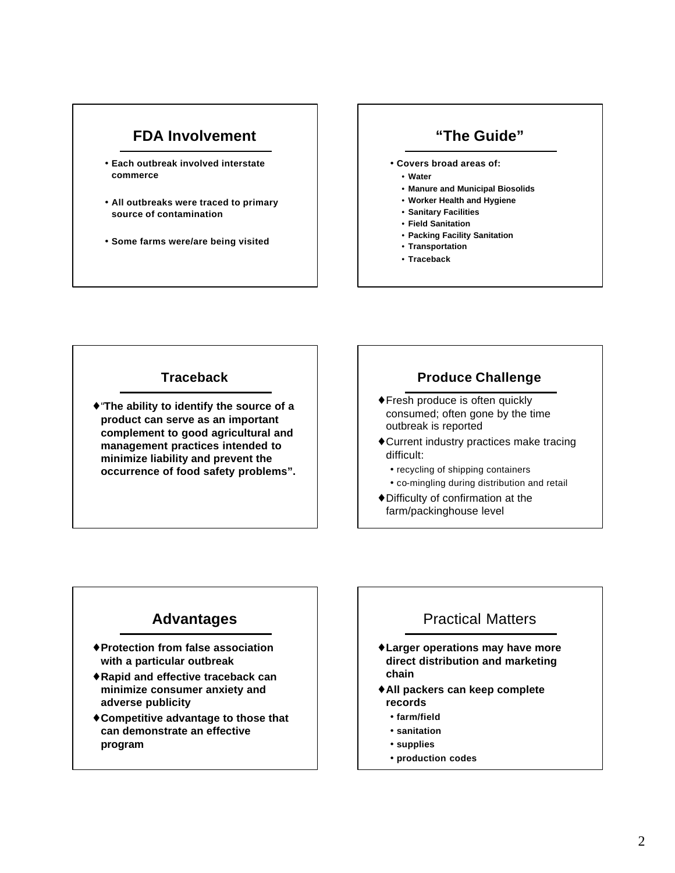## **FDA Involvement**

- **Each outbreak involved interstate commerce**
- **All outbreaks were traced to primary source of contamination**
- **Some farms were/are being visited**

### **"The Guide"**

- **Covers broad areas of:**
	- **Water**
	- **Manure and Municipal Biosolids**
	- **Worker Health and Hygiene**
	- **Sanitary Facilities**
	- **Field Sanitation**
	- **Packing Facility Sanitation** • **Transportation**
	- **Traceback**
- 

#### **Traceback**

♦"**The ability to identify the source of a product can serve as an important complement to good agricultural and management practices intended to minimize liability and prevent the occurrence of food safety problems".**

#### **Produce Challenge**

- ♦Fresh produce is often quickly consumed; often gone by the time outbreak is reported
- ♦Current industry practices make tracing difficult:
	- recycling of shipping containers
	- co-mingling during distribution and retail
- ♦Difficulty of confirmation at the farm/packinghouse level

## **Advantages**

- ♦**Protection from false association with a particular outbreak**
- ♦**Rapid and effective traceback can minimize consumer anxiety and adverse publicity**
- ♦**Competitive advantage to those that can demonstrate an effective program**

### Practical Matters

- ♦**Larger operations may have more direct distribution and marketing chain**
- ♦**All packers can keep complete records**
	- **farm/field**
	- **sanitation**
	- **supplies**
	- **production codes**